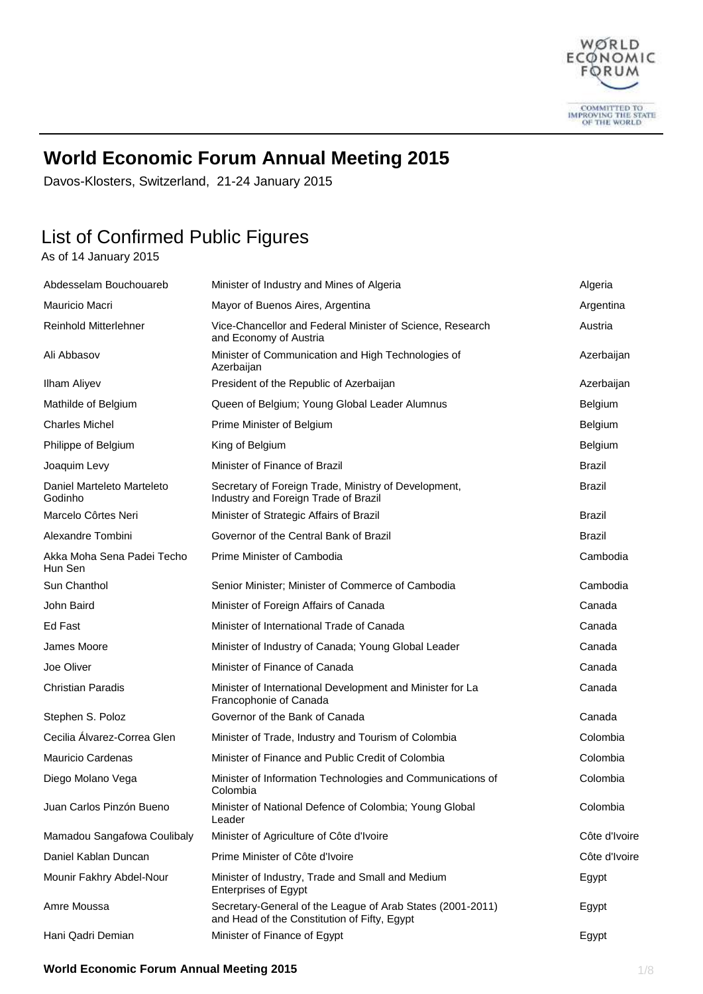

## **World Economic Forum Annual Meeting 2015**

Davos-Klosters, Switzerland, 21-24 January 2015

# List of Confirmed Public Figures

As of 14 January 2015

| Abdesselam Bouchouareb                | Minister of Industry and Mines of Algeria                                                                  | Algeria        |
|---------------------------------------|------------------------------------------------------------------------------------------------------------|----------------|
| Mauricio Macri                        | Mayor of Buenos Aires, Argentina                                                                           | Argentina      |
| <b>Reinhold Mitterlehner</b>          | Vice-Chancellor and Federal Minister of Science, Research<br>and Economy of Austria                        | Austria        |
| Ali Abbasov                           | Minister of Communication and High Technologies of<br>Azerbaijan                                           | Azerbaijan     |
| <b>Ilham Aliyev</b>                   | President of the Republic of Azerbaijan                                                                    | Azerbaijan     |
| Mathilde of Belgium                   | Queen of Belgium; Young Global Leader Alumnus                                                              | <b>Belgium</b> |
| <b>Charles Michel</b>                 | Prime Minister of Belgium                                                                                  | <b>Belgium</b> |
| Philippe of Belgium                   | King of Belgium                                                                                            | Belgium        |
| Joaquim Levy                          | Minister of Finance of Brazil                                                                              | <b>Brazil</b>  |
| Daniel Marteleto Marteleto<br>Godinho | Secretary of Foreign Trade, Ministry of Development,<br>Industry and Foreign Trade of Brazil               | <b>Brazil</b>  |
| Marcelo Côrtes Neri                   | Minister of Strategic Affairs of Brazil                                                                    | <b>Brazil</b>  |
| Alexandre Tombini                     | Governor of the Central Bank of Brazil                                                                     | <b>Brazil</b>  |
| Akka Moha Sena Padei Techo<br>Hun Sen | Prime Minister of Cambodia                                                                                 | Cambodia       |
| Sun Chanthol                          | Senior Minister; Minister of Commerce of Cambodia                                                          | Cambodia       |
| John Baird                            | Minister of Foreign Affairs of Canada                                                                      | Canada         |
| Ed Fast                               | Minister of International Trade of Canada                                                                  | Canada         |
| James Moore                           | Minister of Industry of Canada; Young Global Leader                                                        | Canada         |
| Joe Oliver                            | Minister of Finance of Canada                                                                              | Canada         |
| <b>Christian Paradis</b>              | Minister of International Development and Minister for La<br>Francophonie of Canada                        | Canada         |
| Stephen S. Poloz                      | Governor of the Bank of Canada                                                                             | Canada         |
| Cecilia Alvarez-Correa Glen           | Minister of Trade, Industry and Tourism of Colombia                                                        | Colombia       |
| Mauricio Cardenas                     | Minister of Finance and Public Credit of Colombia                                                          | Colombia       |
| Diego Molano Vega                     | Minister of Information Technologies and Communications of<br>Colombia                                     | Colombia       |
| Juan Carlos Pinzón Bueno              | Minister of National Defence of Colombia; Young Global<br>Leader                                           | Colombia       |
| Mamadou Sangafowa Coulibaly           | Minister of Agriculture of Côte d'Ivoire                                                                   | Côte d'Ivoire  |
| Daniel Kablan Duncan                  | Prime Minister of Côte d'Ivoire                                                                            | Côte d'Ivoire  |
| Mounir Fakhry Abdel-Nour              | Minister of Industry, Trade and Small and Medium<br><b>Enterprises of Egypt</b>                            | Egypt          |
| Amre Moussa                           | Secretary-General of the League of Arab States (2001-2011)<br>and Head of the Constitution of Fifty, Egypt | Egypt          |
| Hani Qadri Demian                     | Minister of Finance of Egypt                                                                               | Egypt          |

#### **World Economic Forum Annual Meeting 2015** 1/8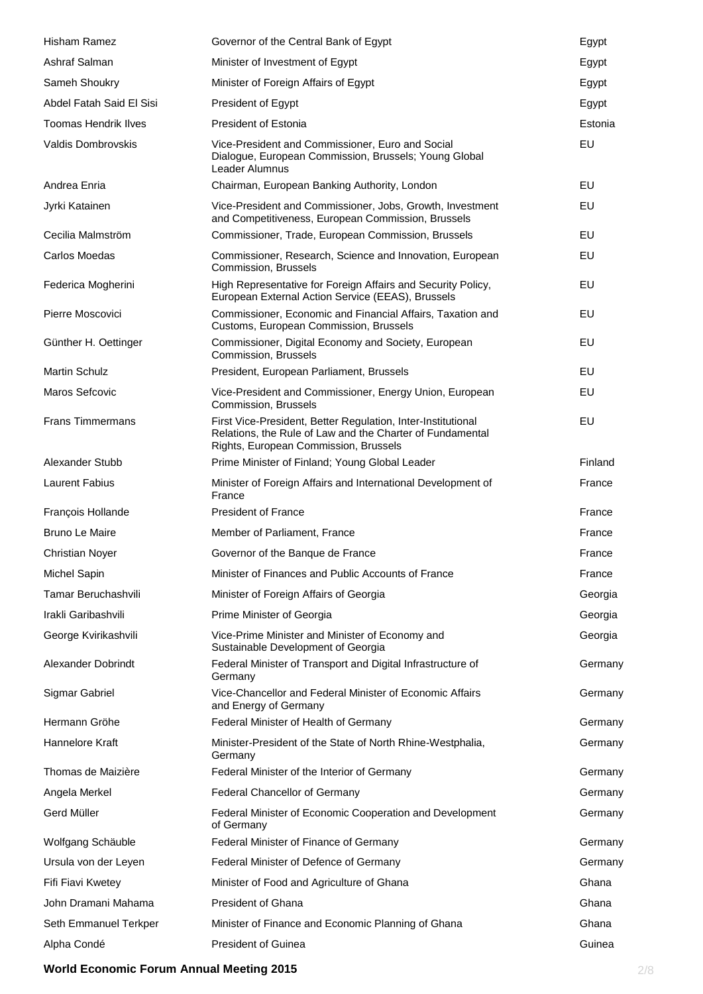| <b>Hisham Ramez</b>         | Governor of the Central Bank of Egypt                                                                                                                              | Egypt   |
|-----------------------------|--------------------------------------------------------------------------------------------------------------------------------------------------------------------|---------|
| Ashraf Salman               | Minister of Investment of Egypt                                                                                                                                    | Egypt   |
| Sameh Shoukry               | Minister of Foreign Affairs of Egypt                                                                                                                               | Egypt   |
| Abdel Fatah Said El Sisi    | President of Egypt                                                                                                                                                 | Egypt   |
| <b>Toomas Hendrik Ilves</b> | <b>President of Estonia</b>                                                                                                                                        | Estonia |
| Valdis Dombrovskis          | Vice-President and Commissioner, Euro and Social<br>Dialogue, European Commission, Brussels; Young Global<br>Leader Alumnus                                        | EU      |
| Andrea Enria                | Chairman, European Banking Authority, London                                                                                                                       | EU      |
| Jyrki Katainen              | Vice-President and Commissioner, Jobs, Growth, Investment<br>and Competitiveness, European Commission, Brussels                                                    | EU      |
| Cecilia Malmström           | Commissioner, Trade, European Commission, Brussels                                                                                                                 | EU      |
| Carlos Moedas               | Commissioner, Research, Science and Innovation, European<br>Commission, Brussels                                                                                   | EU      |
| Federica Mogherini          | High Representative for Foreign Affairs and Security Policy,<br>European External Action Service (EEAS), Brussels                                                  | EU      |
| Pierre Moscovici            | Commissioner, Economic and Financial Affairs, Taxation and<br>Customs, European Commission, Brussels                                                               | EU      |
| Günther H. Oettinger        | Commissioner, Digital Economy and Society, European<br>Commission, Brussels                                                                                        | EU      |
| <b>Martin Schulz</b>        | President, European Parliament, Brussels                                                                                                                           | EU      |
| Maros Sefcovic              | Vice-President and Commissioner, Energy Union, European<br>Commission, Brussels                                                                                    | EU      |
| <b>Frans Timmermans</b>     | First Vice-President, Better Regulation, Inter-Institutional<br>Relations, the Rule of Law and the Charter of Fundamental<br>Rights, European Commission, Brussels | EU      |
| Alexander Stubb             | Prime Minister of Finland; Young Global Leader                                                                                                                     | Finland |
| <b>Laurent Fabius</b>       | Minister of Foreign Affairs and International Development of<br>France                                                                                             | France  |
| François Hollande           | President of France                                                                                                                                                | France  |
| <b>Bruno Le Maire</b>       | Member of Parliament, France                                                                                                                                       | France  |
| <b>Christian Noyer</b>      | Governor of the Banque de France                                                                                                                                   | France  |
| <b>Michel Sapin</b>         | Minister of Finances and Public Accounts of France                                                                                                                 | France  |
| <b>Tamar Beruchashvili</b>  | Minister of Foreign Affairs of Georgia                                                                                                                             | Georgia |
| Irakli Garibashvili         | Prime Minister of Georgia                                                                                                                                          | Georgia |
| George Kvirikashvili        | Vice-Prime Minister and Minister of Economy and<br>Sustainable Development of Georgia                                                                              | Georgia |
| Alexander Dobrindt          | Federal Minister of Transport and Digital Infrastructure of<br>Germany                                                                                             | Germany |
| Sigmar Gabriel              | Vice-Chancellor and Federal Minister of Economic Affairs<br>and Energy of Germany                                                                                  | Germany |
| Hermann Gröhe               | Federal Minister of Health of Germany                                                                                                                              | Germany |
| Hannelore Kraft             | Minister-President of the State of North Rhine-Westphalia,<br>Germany                                                                                              | Germany |
| Thomas de Maizière          | Federal Minister of the Interior of Germany                                                                                                                        | Germany |
| Angela Merkel               | Federal Chancellor of Germany                                                                                                                                      | Germany |
| Gerd Müller                 | Federal Minister of Economic Cooperation and Development<br>of Germany                                                                                             | Germany |
| Wolfgang Schäuble           | Federal Minister of Finance of Germany                                                                                                                             | Germany |
| Ursula von der Leyen        | Federal Minister of Defence of Germany                                                                                                                             | Germany |
| Fifi Fiavi Kwetey           | Minister of Food and Agriculture of Ghana                                                                                                                          | Ghana   |
| John Dramani Mahama         | President of Ghana                                                                                                                                                 | Ghana   |
| Seth Emmanuel Terkper       | Minister of Finance and Economic Planning of Ghana                                                                                                                 | Ghana   |
| Alpha Condé                 | President of Guinea                                                                                                                                                | Guinea  |

### **World Economic Forum Annual Meeting 2015** 2/8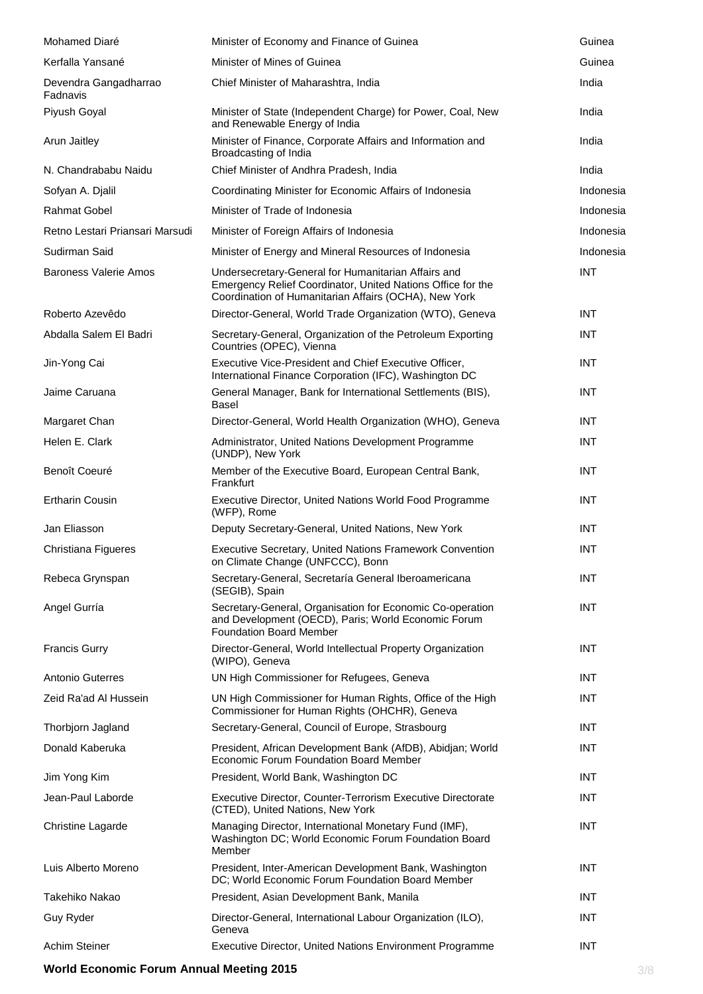| Mohamed Diaré                     | Minister of Economy and Finance of Guinea                                                                                                                                   | Guinea     |
|-----------------------------------|-----------------------------------------------------------------------------------------------------------------------------------------------------------------------------|------------|
| Kerfalla Yansané                  | Minister of Mines of Guinea                                                                                                                                                 | Guinea     |
| Devendra Gangadharrao<br>Fadnavis | Chief Minister of Maharashtra, India                                                                                                                                        | India      |
| Piyush Goyal                      | Minister of State (Independent Charge) for Power, Coal, New<br>and Renewable Energy of India                                                                                | India      |
| Arun Jaitley                      | Minister of Finance, Corporate Affairs and Information and<br>Broadcasting of India                                                                                         | India      |
| N. Chandrababu Naidu              | Chief Minister of Andhra Pradesh, India                                                                                                                                     | India      |
| Sofyan A. Djalil                  | Coordinating Minister for Economic Affairs of Indonesia                                                                                                                     | Indonesia  |
| <b>Rahmat Gobel</b>               | Minister of Trade of Indonesia                                                                                                                                              | Indonesia  |
| Retno Lestari Priansari Marsudi   | Minister of Foreign Affairs of Indonesia                                                                                                                                    | Indonesia  |
| Sudirman Said                     | Minister of Energy and Mineral Resources of Indonesia                                                                                                                       | Indonesia  |
| <b>Baroness Valerie Amos</b>      | Undersecretary-General for Humanitarian Affairs and<br>Emergency Relief Coordinator, United Nations Office for the<br>Coordination of Humanitarian Affairs (OCHA), New York | <b>INT</b> |
| Roberto Azevêdo                   | Director-General, World Trade Organization (WTO), Geneva                                                                                                                    | <b>INT</b> |
| Abdalla Salem El Badri            | Secretary-General, Organization of the Petroleum Exporting<br>Countries (OPEC), Vienna                                                                                      | <b>INT</b> |
| Jin-Yong Cai                      | Executive Vice-President and Chief Executive Officer,<br>International Finance Corporation (IFC), Washington DC                                                             | <b>INT</b> |
| Jaime Caruana                     | General Manager, Bank for International Settlements (BIS),<br><b>Basel</b>                                                                                                  | <b>INT</b> |
| Margaret Chan                     | Director-General, World Health Organization (WHO), Geneva                                                                                                                   | <b>INT</b> |
| Helen E. Clark                    | Administrator, United Nations Development Programme<br>(UNDP), New York                                                                                                     | <b>INT</b> |
| Benoît Coeuré                     | Member of the Executive Board, European Central Bank,<br>Frankfurt                                                                                                          | <b>INT</b> |
| <b>Ertharin Cousin</b>            | Executive Director, United Nations World Food Programme<br>(WFP), Rome                                                                                                      | <b>INT</b> |
| Jan Eliasson                      | Deputy Secretary-General, United Nations, New York                                                                                                                          | <b>INT</b> |
| Christiana Figueres               | Executive Secretary, United Nations Framework Convention<br>on Climate Change (UNFCCC), Bonn                                                                                | <b>INT</b> |
| Rebeca Grynspan                   | Secretary-General, Secretaría General Iberoamericana<br>(SEGIB), Spain                                                                                                      | <b>INT</b> |
| Angel Gurría                      | Secretary-General, Organisation for Economic Co-operation<br>and Development (OECD), Paris; World Economic Forum<br><b>Foundation Board Member</b>                          | <b>INT</b> |
| <b>Francis Gurry</b>              | Director-General, World Intellectual Property Organization<br>(WIPO), Geneva                                                                                                | <b>INT</b> |
| Antonio Guterres                  | UN High Commissioner for Refugees, Geneva                                                                                                                                   | <b>INT</b> |
| Zeid Ra'ad Al Hussein             | UN High Commissioner for Human Rights, Office of the High<br>Commissioner for Human Rights (OHCHR), Geneva                                                                  | <b>INT</b> |
| Thorbjorn Jagland                 | Secretary-General, Council of Europe, Strasbourg                                                                                                                            | <b>INT</b> |
| Donald Kaberuka                   | President, African Development Bank (AfDB), Abidjan; World<br>Economic Forum Foundation Board Member                                                                        | <b>INT</b> |
| Jim Yong Kim                      | President, World Bank, Washington DC                                                                                                                                        | <b>INT</b> |
| Jean-Paul Laborde                 | Executive Director, Counter-Terrorism Executive Directorate<br>(CTED), United Nations, New York                                                                             | <b>INT</b> |
| Christine Lagarde                 | Managing Director, International Monetary Fund (IMF),<br>Washington DC; World Economic Forum Foundation Board<br>Member                                                     | <b>INT</b> |
| Luis Alberto Moreno               | President, Inter-American Development Bank, Washington<br>DC; World Economic Forum Foundation Board Member                                                                  | INT        |
| Takehiko Nakao                    | President, Asian Development Bank, Manila                                                                                                                                   | <b>INT</b> |
| Guy Ryder                         | Director-General, International Labour Organization (ILO),<br>Geneva                                                                                                        | <b>INT</b> |
| Achim Steiner                     | Executive Director, United Nations Environment Programme                                                                                                                    | <b>INT</b> |

### **World Economic Forum Annual Meeting 2015 3/8**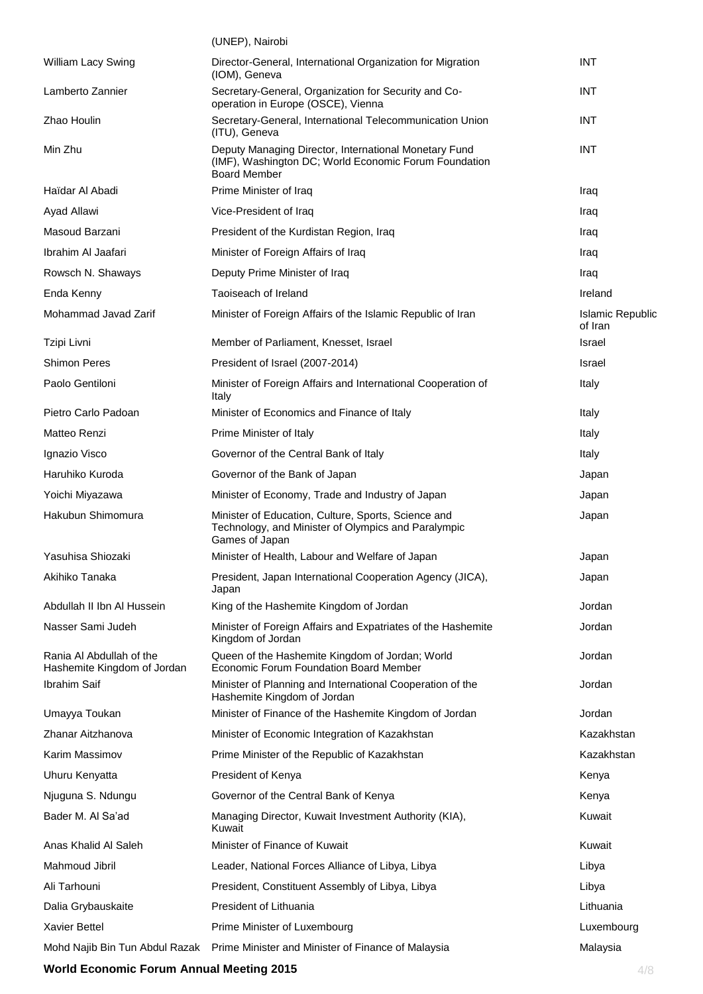|                                                         | (UNEP), Nairobi                                                                                                                       |                             |
|---------------------------------------------------------|---------------------------------------------------------------------------------------------------------------------------------------|-----------------------------|
| William Lacy Swing                                      | Director-General, International Organization for Migration<br>(IOM), Geneva                                                           | <b>INT</b>                  |
| Lamberto Zannier                                        | Secretary-General, Organization for Security and Co-<br>operation in Europe (OSCE), Vienna                                            | <b>INT</b>                  |
| Zhao Houlin                                             | Secretary-General, International Telecommunication Union<br>(ITU), Geneva                                                             | <b>INT</b>                  |
| Min Zhu                                                 | Deputy Managing Director, International Monetary Fund<br>(IMF), Washington DC; World Economic Forum Foundation<br><b>Board Member</b> | <b>INT</b>                  |
| Haïdar Al Abadi                                         | Prime Minister of Iraq                                                                                                                | Iraq                        |
| Ayad Allawi                                             | Vice-President of Iraq                                                                                                                | Iraq                        |
| Masoud Barzani                                          | President of the Kurdistan Region, Iraq                                                                                               | Iraq                        |
| Ibrahim Al Jaafari                                      | Minister of Foreign Affairs of Iraq                                                                                                   | Iraq                        |
| Rowsch N. Shaways                                       | Deputy Prime Minister of Iraq                                                                                                         | Iraq                        |
| Enda Kenny                                              | Taoiseach of Ireland                                                                                                                  | Ireland                     |
| Mohammad Javad Zarif                                    | Minister of Foreign Affairs of the Islamic Republic of Iran                                                                           | Islamic Republic<br>of Iran |
| Tzipi Livni                                             | Member of Parliament, Knesset, Israel                                                                                                 | <b>Israel</b>               |
| <b>Shimon Peres</b>                                     | President of Israel (2007-2014)                                                                                                       | Israel                      |
| Paolo Gentiloni                                         | Minister of Foreign Affairs and International Cooperation of<br>Italy                                                                 | Italy                       |
| Pietro Carlo Padoan                                     | Minister of Economics and Finance of Italy                                                                                            | Italy                       |
| Matteo Renzi                                            | Prime Minister of Italy                                                                                                               | Italy                       |
| Ignazio Visco                                           | Governor of the Central Bank of Italy                                                                                                 | Italy                       |
| Haruhiko Kuroda                                         | Governor of the Bank of Japan                                                                                                         | Japan                       |
| Yoichi Miyazawa                                         | Minister of Economy, Trade and Industry of Japan                                                                                      | Japan                       |
| Hakubun Shimomura                                       | Minister of Education, Culture, Sports, Science and<br>Technology, and Minister of Olympics and Paralympic<br>Games of Japan          | Japan                       |
| Yasuhisa Shiozaki                                       | Minister of Health, Labour and Welfare of Japan                                                                                       | Japan                       |
| Akihiko Tanaka                                          | President, Japan International Cooperation Agency (JICA),<br>Japan                                                                    | Japan                       |
| Abdullah II Ibn Al Hussein                              | King of the Hashemite Kingdom of Jordan                                                                                               | Jordan                      |
| Nasser Sami Judeh                                       | Minister of Foreign Affairs and Expatriates of the Hashemite<br>Kingdom of Jordan                                                     | Jordan                      |
| Rania AI Abdullah of the<br>Hashemite Kingdom of Jordan | Queen of the Hashemite Kingdom of Jordan; World<br>Economic Forum Foundation Board Member                                             | Jordan                      |
| Ibrahim Saif                                            | Minister of Planning and International Cooperation of the<br>Hashemite Kingdom of Jordan                                              | Jordan                      |
| Umayya Toukan                                           | Minister of Finance of the Hashemite Kingdom of Jordan                                                                                | Jordan                      |
| Zhanar Aitzhanova                                       | Minister of Economic Integration of Kazakhstan                                                                                        | Kazakhstan                  |
| Karim Massimov                                          | Prime Minister of the Republic of Kazakhstan                                                                                          | Kazakhstan                  |
| Uhuru Kenyatta                                          | President of Kenya                                                                                                                    | Kenya                       |
| Njuguna S. Ndungu                                       | Governor of the Central Bank of Kenya                                                                                                 | Kenya                       |
| Bader M. Al Sa'ad                                       | Managing Director, Kuwait Investment Authority (KIA),<br>Kuwait                                                                       | Kuwait                      |
| Anas Khalid Al Saleh                                    | Minister of Finance of Kuwait                                                                                                         | Kuwait                      |
| Mahmoud Jibril                                          | Leader, National Forces Alliance of Libya, Libya                                                                                      | Libya                       |
| Ali Tarhouni                                            | President, Constituent Assembly of Libya, Libya                                                                                       | Libya                       |
| Dalia Grybauskaite                                      | President of Lithuania                                                                                                                | Lithuania                   |
| <b>Xavier Bettel</b>                                    | Prime Minister of Luxembourg                                                                                                          | Luxembourg                  |
| Mohd Najib Bin Tun Abdul Razak                          | Prime Minister and Minister of Finance of Malaysia                                                                                    | Malaysia                    |

### World Economic Forum Annual Meeting 2015 **4/8** 4/8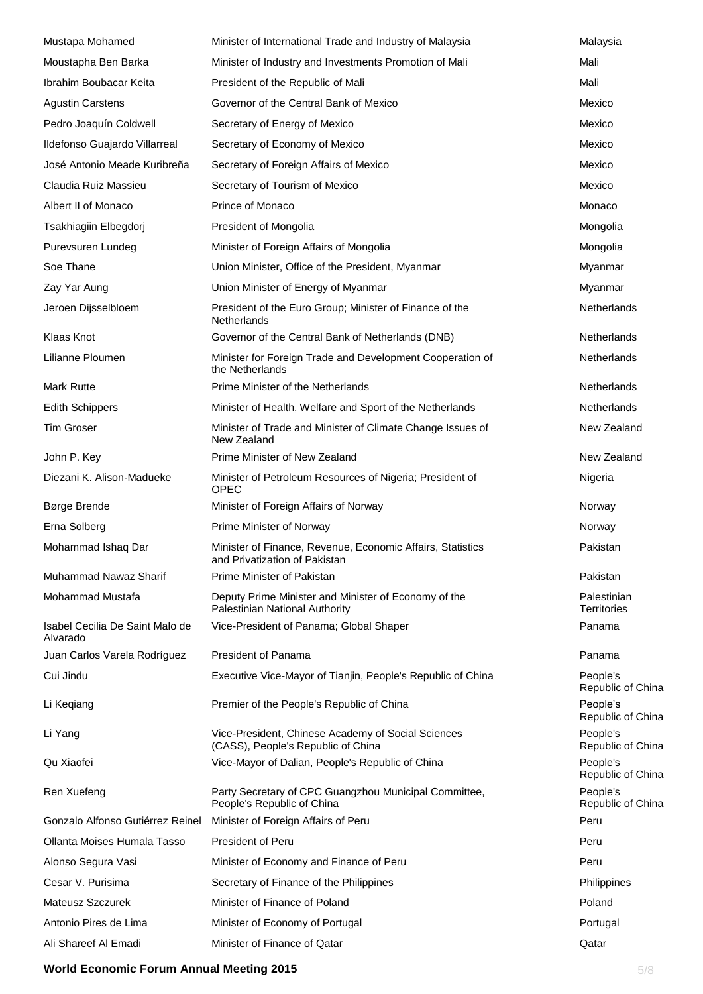| Mustapa Mohamed                             | Minister of International Trade and Industry of Malaysia                                    | Malaysia                          |
|---------------------------------------------|---------------------------------------------------------------------------------------------|-----------------------------------|
| Moustapha Ben Barka                         | Minister of Industry and Investments Promotion of Mali                                      | Mali                              |
| Ibrahim Boubacar Keita                      | President of the Republic of Mali                                                           | Mali                              |
| <b>Agustin Carstens</b>                     | Governor of the Central Bank of Mexico                                                      | Mexico                            |
| Pedro Joaquín Coldwell                      | Secretary of Energy of Mexico                                                               | Mexico                            |
| Ildefonso Guajardo Villarreal               | Secretary of Economy of Mexico                                                              | Mexico                            |
| José Antonio Meade Kuribreña                | Secretary of Foreign Affairs of Mexico                                                      | Mexico                            |
| Claudia Ruiz Massieu                        | Secretary of Tourism of Mexico                                                              | Mexico                            |
| Albert II of Monaco                         | Prince of Monaco                                                                            | Monaco                            |
| Tsakhiagiin Elbegdorj                       | President of Mongolia                                                                       | Mongolia                          |
| Purevsuren Lundeg                           | Minister of Foreign Affairs of Mongolia                                                     | Mongolia                          |
| Soe Thane                                   | Union Minister, Office of the President, Myanmar                                            | Myanmar                           |
| Zay Yar Aung                                | Union Minister of Energy of Myanmar                                                         | Myanmar                           |
| Jeroen Dijsselbloem                         | President of the Euro Group; Minister of Finance of the<br>Netherlands                      | Netherlands                       |
| Klaas Knot                                  | Governor of the Central Bank of Netherlands (DNB)                                           | Netherlands                       |
| Lilianne Ploumen                            | Minister for Foreign Trade and Development Cooperation of<br>the Netherlands                | Netherlands                       |
| <b>Mark Rutte</b>                           | Prime Minister of the Netherlands                                                           | Netherlands                       |
| <b>Edith Schippers</b>                      | Minister of Health, Welfare and Sport of the Netherlands                                    | Netherlands                       |
| <b>Tim Groser</b>                           | Minister of Trade and Minister of Climate Change Issues of<br>New Zealand                   | New Zealand                       |
| John P. Key                                 | Prime Minister of New Zealand                                                               | New Zealand                       |
| Diezani K. Alison-Madueke                   | Minister of Petroleum Resources of Nigeria; President of<br><b>OPEC</b>                     | Nigeria                           |
| Børge Brende                                | Minister of Foreign Affairs of Norway                                                       | Norway                            |
| Erna Solberg                                | Prime Minister of Norway                                                                    | Norway                            |
| Mohammad Ishaq Dar                          | Minister of Finance, Revenue, Economic Affairs, Statistics<br>and Privatization of Pakistan | Pakistan                          |
| Muhammad Nawaz Sharif                       | Prime Minister of Pakistan                                                                  | Pakistan                          |
| Mohammad Mustafa                            | Deputy Prime Minister and Minister of Economy of the<br>Palestinian National Authority      | Palestinian<br><b>Territories</b> |
| Isabel Cecilia De Saint Malo de<br>Alvarado | Vice-President of Panama; Global Shaper                                                     | Panama                            |
| Juan Carlos Varela Rodríguez                | President of Panama                                                                         | Panama                            |
| Cui Jindu                                   | Executive Vice-Mayor of Tianjin, People's Republic of China                                 | People's<br>Republic of China     |
| Li Keqiang                                  | Premier of the People's Republic of China                                                   | People's<br>Republic of China     |
| Li Yang                                     | Vice-President, Chinese Academy of Social Sciences<br>(CASS), People's Republic of China    | People's<br>Republic of China     |
| Qu Xiaofei                                  | Vice-Mayor of Dalian, People's Republic of China                                            | People's<br>Republic of China     |
| Ren Xuefeng                                 | Party Secretary of CPC Guangzhou Municipal Committee,<br>People's Republic of China         | People's<br>Republic of China     |
| Gonzalo Alfonso Gutiérrez Reinel            | Minister of Foreign Affairs of Peru                                                         | Peru                              |
| Ollanta Moises Humala Tasso                 | <b>President of Peru</b>                                                                    | Peru                              |
| Alonso Segura Vasi                          | Minister of Economy and Finance of Peru                                                     | Peru                              |
| Cesar V. Purisima                           | Secretary of Finance of the Philippines                                                     | Philippines                       |
| Mateusz Szczurek                            | Minister of Finance of Poland                                                               | Poland                            |
| Antonio Pires de Lima                       | Minister of Economy of Portugal                                                             | Portugal                          |
| Ali Shareef Al Emadi                        | Minister of Finance of Qatar                                                                | Qatar                             |

#### **World Economic Forum Annual Meeting 2015 5/8**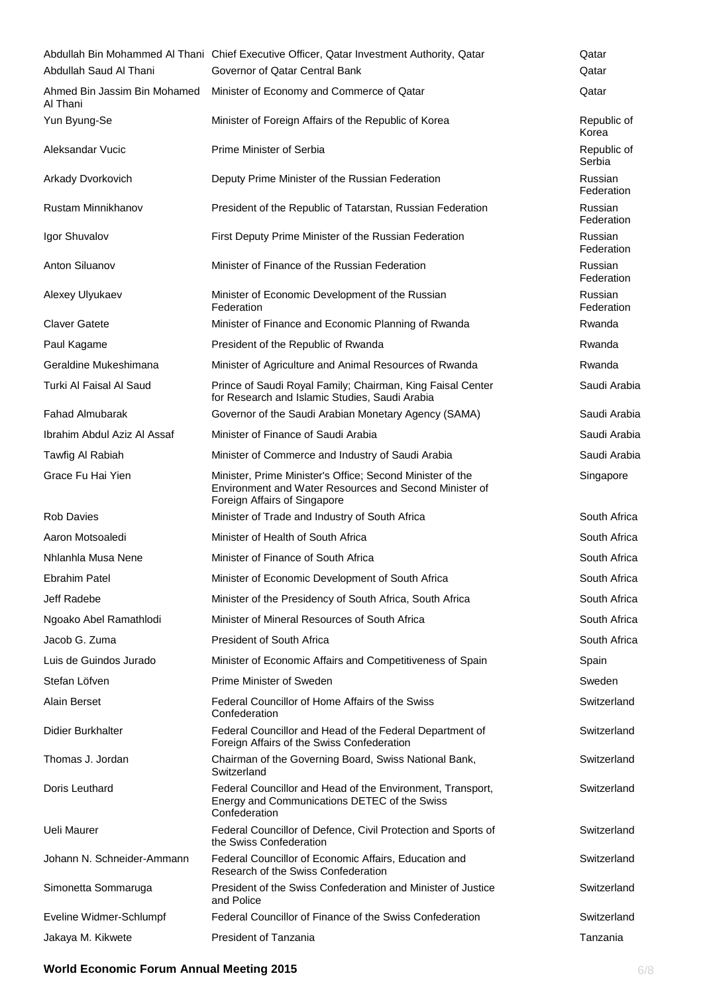|                                          | Abdullah Bin Mohammed Al Thani Chief Executive Officer, Qatar Investment Authority, Qatar                                                           | Qatar                 |
|------------------------------------------|-----------------------------------------------------------------------------------------------------------------------------------------------------|-----------------------|
| Abdullah Saud Al Thani                   | Governor of Qatar Central Bank                                                                                                                      | Qatar                 |
| Ahmed Bin Jassim Bin Mohamed<br>Al Thani | Minister of Economy and Commerce of Qatar                                                                                                           | Qatar                 |
| Yun Byung-Se                             | Minister of Foreign Affairs of the Republic of Korea                                                                                                | Republic of<br>Korea  |
| Aleksandar Vucic                         | Prime Minister of Serbia                                                                                                                            | Republic of<br>Serbia |
| Arkady Dvorkovich                        | Deputy Prime Minister of the Russian Federation                                                                                                     | Russian<br>Federation |
| Rustam Minnikhanov                       | President of the Republic of Tatarstan, Russian Federation                                                                                          | Russian<br>Federation |
| Igor Shuvalov                            | First Deputy Prime Minister of the Russian Federation                                                                                               | Russian<br>Federation |
| Anton Siluanov                           | Minister of Finance of the Russian Federation                                                                                                       | Russian<br>Federation |
| Alexey Ulyukaev                          | Minister of Economic Development of the Russian<br>Federation                                                                                       | Russian<br>Federation |
| <b>Claver Gatete</b>                     | Minister of Finance and Economic Planning of Rwanda                                                                                                 | Rwanda                |
| Paul Kagame                              | President of the Republic of Rwanda                                                                                                                 | Rwanda                |
| Geraldine Mukeshimana                    | Minister of Agriculture and Animal Resources of Rwanda                                                                                              | Rwanda                |
| Turki Al Faisal Al Saud                  | Prince of Saudi Royal Family; Chairman, King Faisal Center<br>for Research and Islamic Studies, Saudi Arabia                                        | Saudi Arabia          |
| <b>Fahad Almubarak</b>                   | Governor of the Saudi Arabian Monetary Agency (SAMA)                                                                                                | Saudi Arabia          |
| Ibrahim Abdul Aziz Al Assaf              | Minister of Finance of Saudi Arabia                                                                                                                 | Saudi Arabia          |
| Tawfig Al Rabiah                         | Minister of Commerce and Industry of Saudi Arabia                                                                                                   | Saudi Arabia          |
| Grace Fu Hai Yien                        | Minister, Prime Minister's Office; Second Minister of the<br>Environment and Water Resources and Second Minister of<br>Foreign Affairs of Singapore | Singapore             |
| <b>Rob Davies</b>                        | Minister of Trade and Industry of South Africa                                                                                                      | South Africa          |
| Aaron Motsoaledi                         | Minister of Health of South Africa                                                                                                                  | South Africa          |
| Nhlanhla Musa Nene                       | Minister of Finance of South Africa                                                                                                                 | South Africa          |
| Ebrahim Patel                            | Minister of Economic Development of South Africa                                                                                                    | South Africa          |
| Jeff Radebe                              | Minister of the Presidency of South Africa, South Africa                                                                                            | South Africa          |
| Ngoako Abel Ramathlodi                   | Minister of Mineral Resources of South Africa                                                                                                       | South Africa          |
| Jacob G. Zuma                            | <b>President of South Africa</b>                                                                                                                    | South Africa          |
| Luis de Guindos Jurado                   | Minister of Economic Affairs and Competitiveness of Spain                                                                                           | Spain                 |
| Stefan Löfven                            | Prime Minister of Sweden                                                                                                                            | Sweden                |
| Alain Berset                             | Federal Councillor of Home Affairs of the Swiss<br>Confederation                                                                                    | Switzerland           |
| Didier Burkhalter                        | Federal Councillor and Head of the Federal Department of<br>Foreign Affairs of the Swiss Confederation                                              | Switzerland           |
| Thomas J. Jordan                         | Chairman of the Governing Board, Swiss National Bank,<br>Switzerland                                                                                | Switzerland           |
| Doris Leuthard                           | Federal Councillor and Head of the Environment, Transport,<br>Energy and Communications DETEC of the Swiss<br>Confederation                         | Switzerland           |
| Ueli Maurer                              | Federal Councillor of Defence, Civil Protection and Sports of<br>the Swiss Confederation                                                            | Switzerland           |
| Johann N. Schneider-Ammann               | Federal Councillor of Economic Affairs, Education and<br>Research of the Swiss Confederation                                                        | Switzerland           |
| Simonetta Sommaruga                      | President of the Swiss Confederation and Minister of Justice<br>and Police                                                                          | Switzerland           |
| Eveline Widmer-Schlumpf                  | Federal Councillor of Finance of the Swiss Confederation                                                                                            | Switzerland           |
| Jakaya M. Kikwete                        | President of Tanzania                                                                                                                               | Tanzania              |

#### **World Economic Forum Annual Meeting 2015** 6/8